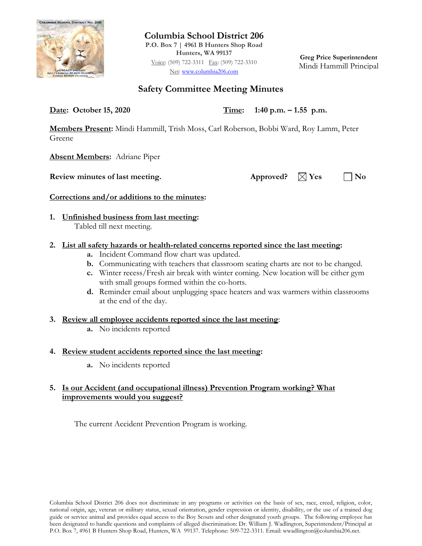

**Columbia School District 206 P.O. Box 7 | 4961 B Hunters Shop Road Hunters, WA 99137** Voice: (509) 722-3311 Fax: (509) 722-3310 Net: [www.columbia206.com](http://www.columbia206.com/)

**Greg Price Superintendent** Mindi Hammill Principal

# **Safety Committee Meeting Minutes**

**Date: October 15, 2020 Time: 1:40 p.m. – 1.55 p.m.**

**Members Present:** Mindi Hammill, Trish Moss, Carl Roberson, Bobbi Ward, Roy Lamm, Peter Greene

**Absent Members:** Adriane Piper

**Review minutes of last meeting.** Approved?  $\boxtimes$  Yes  $\Box$  No

## **Corrections and/or additions to the minutes:**

**1. Unfinished business from last meeting:**  Tabled till next meeting.

## **2. List all safety hazards or health-related concerns reported since the last meeting:**

- **a.** Incident Command flow chart was updated.
- **b.** Communicating with teachers that classroom seating charts are not to be changed.
- **c.** Winter recess/Fresh air break with winter coming. New location will be either gym with small groups formed within the co-horts.
- **d.** Reminder email about unplugging space heaters and wax warmers within classrooms at the end of the day.
- **3. Review all employee accidents reported since the last meeting**:
	- **a.** No incidents reported

## **4. Review student accidents reported since the last meeting:**

**a.** No incidents reported

## **5. Is our Accident (and occupational illness) Prevention Program working? What improvements would you suggest?**

The current Accident Prevention Program is working.